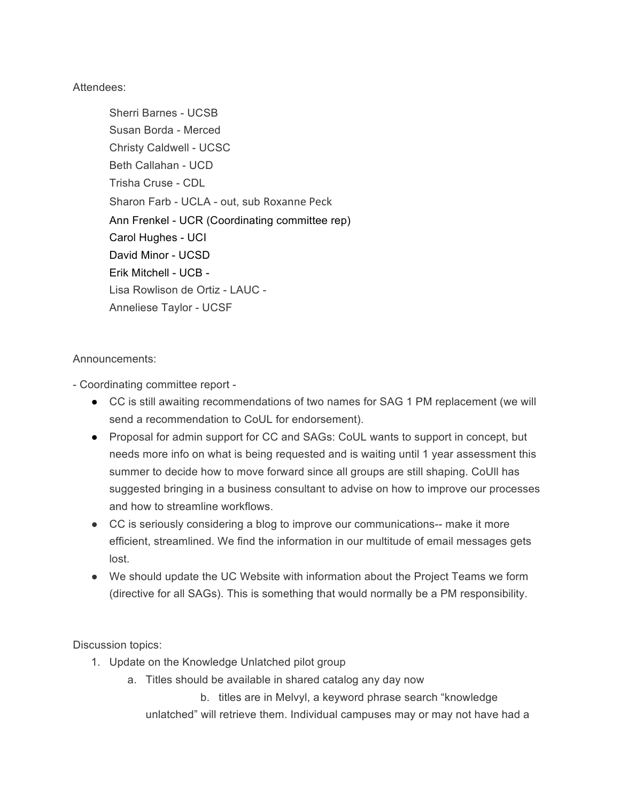Attendees:

Sherri Barnes - UCSB Susan Borda - Merced Christy Caldwell - UCSC Beth Callahan - UCD Trisha Cruse - CDL Sharon Farb - UCLA - out, sub Roxanne Peck Ann Frenkel - UCR (Coordinating committee rep) Carol Hughes - UCI David Minor - UCSD Erik Mitchell - UCB - Lisa Rowlison de Ortiz - LAUC - Anneliese Taylor - UCSF

Announcements:

- Coordinating committee report -

- CC is still awaiting recommendations of two names for SAG 1 PM replacement (we will send a recommendation to CoUL for endorsement).
- Proposal for admin support for CC and SAGs: CoUL wants to support in concept, but needs more info on what is being requested and is waiting until 1 year assessment this summer to decide how to move forward since all groups are still shaping. CoUll has suggested bringing in a business consultant to advise on how to improve our processes and how to streamline workflows.
- CC is seriously considering a blog to improve our communications-- make it more efficient, streamlined. We find the information in our multitude of email messages gets lost.
- We should update the UC Website with information about the Project Teams we form (directive for all SAGs). This is something that would normally be a PM responsibility.

Discussion topics:

- 1. Update on the Knowledge Unlatched pilot group
	- a. Titles should be available in shared catalog any day now

b. titles are in Melvyl, a keyword phrase search "knowledge unlatched" will retrieve them. Individual campuses may or may not have had a